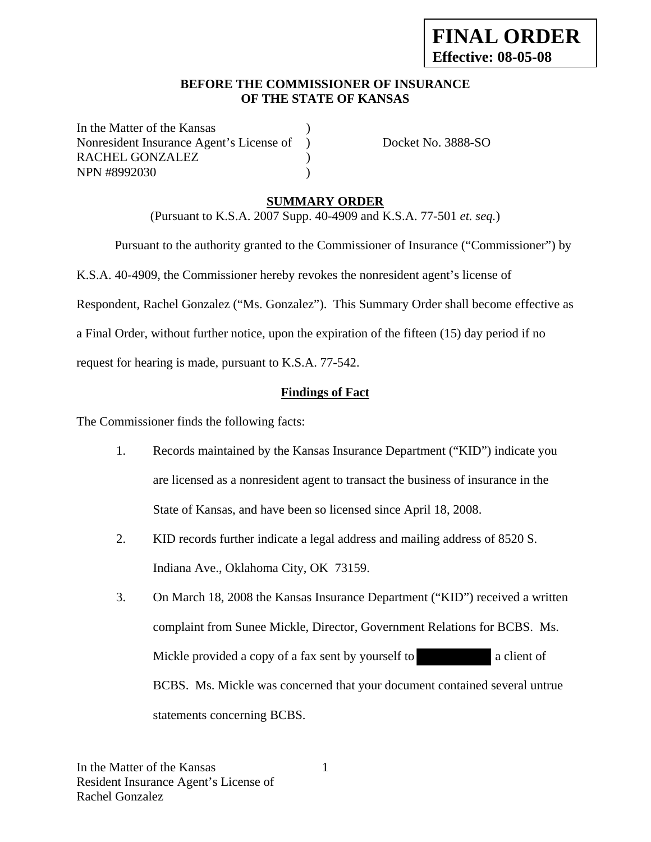#### **BEFORE THE COMMISSIONER OF INSURANCE OF THE STATE OF KANSAS**

In the Matter of the Kansas Nonresident Insurance Agent's License of ) Docket No. 3888-SO RACHEL GONZALEZ  $)$ NPN #8992030 (a)

## **SUMMARY ORDER**

(Pursuant to K.S.A. 2007 Supp. 40-4909 and K.S.A. 77-501 *et. seq.*)

 Pursuant to the authority granted to the Commissioner of Insurance ("Commissioner") by K.S.A. 40-4909, the Commissioner hereby revokes the nonresident agent's license of Respondent, Rachel Gonzalez ("Ms. Gonzalez"). This Summary Order shall become effective as a Final Order, without further notice, upon the expiration of the fifteen (15) day period if no request for hearing is made, pursuant to K.S.A. 77-542.

## **Findings of Fact**

The Commissioner finds the following facts:

- 1. Records maintained by the Kansas Insurance Department ("KID") indicate you are licensed as a nonresident agent to transact the business of insurance in the State of Kansas, and have been so licensed since April 18, 2008.
- 2. KID records further indicate a legal address and mailing address of 8520 S. Indiana Ave., Oklahoma City, OK 73159.
- 3. On March 18, 2008 the Kansas Insurance Department ("KID") received a written complaint from Sunee Mickle, Director, Government Relations for BCBS. Ms. Mickle provided a copy of a fax sent by yourself to a client of BCBS. Ms. Mickle was concerned that your document contained several untrue statements concerning BCBS.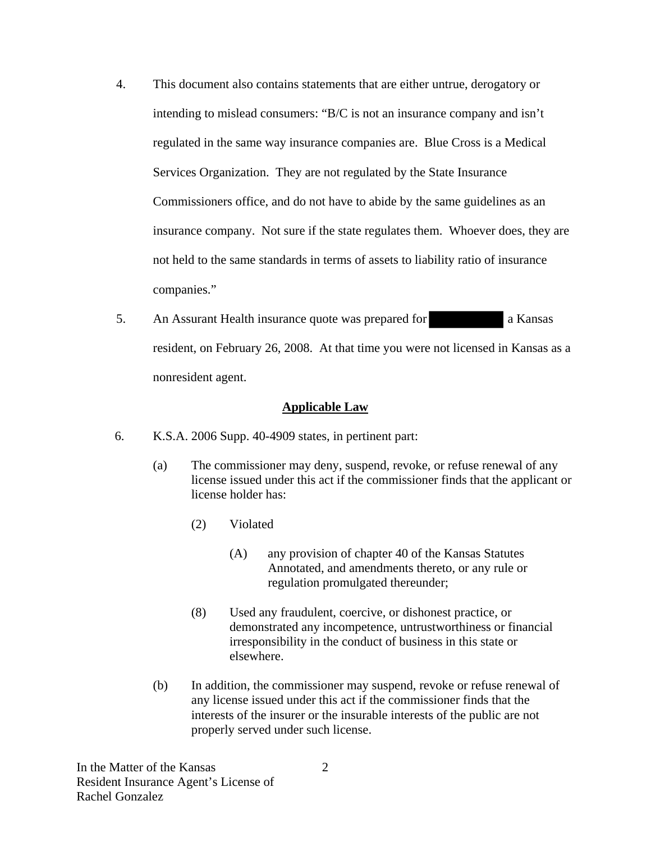- 4. This document also contains statements that are either untrue, derogatory or intending to mislead consumers: "B/C is not an insurance company and isn't regulated in the same way insurance companies are. Blue Cross is a Medical Services Organization. They are not regulated by the State Insurance Commissioners office, and do not have to abide by the same guidelines as an insurance company. Not sure if the state regulates them. Whoever does, they are not held to the same standards in terms of assets to liability ratio of insurance companies."
- 5. An Assurant Health insurance quote was prepared for a Kansas resident, on February 26, 2008. At that time you were not licensed in Kansas as a nonresident agent.

#### **Applicable Law**

- 6. K.S.A. 2006 Supp. 40-4909 states, in pertinent part:
	- (a) The commissioner may deny, suspend, revoke, or refuse renewal of any license issued under this act if the commissioner finds that the applicant or license holder has:
		- (2) Violated
			- (A) any provision of chapter 40 of the Kansas Statutes Annotated, and amendments thereto, or any rule or regulation promulgated thereunder;
		- (8) Used any fraudulent, coercive, or dishonest practice, or demonstrated any incompetence, untrustworthiness or financial irresponsibility in the conduct of business in this state or elsewhere.
	- (b) In addition, the commissioner may suspend, revoke or refuse renewal of any license issued under this act if the commissioner finds that the interests of the insurer or the insurable interests of the public are not properly served under such license.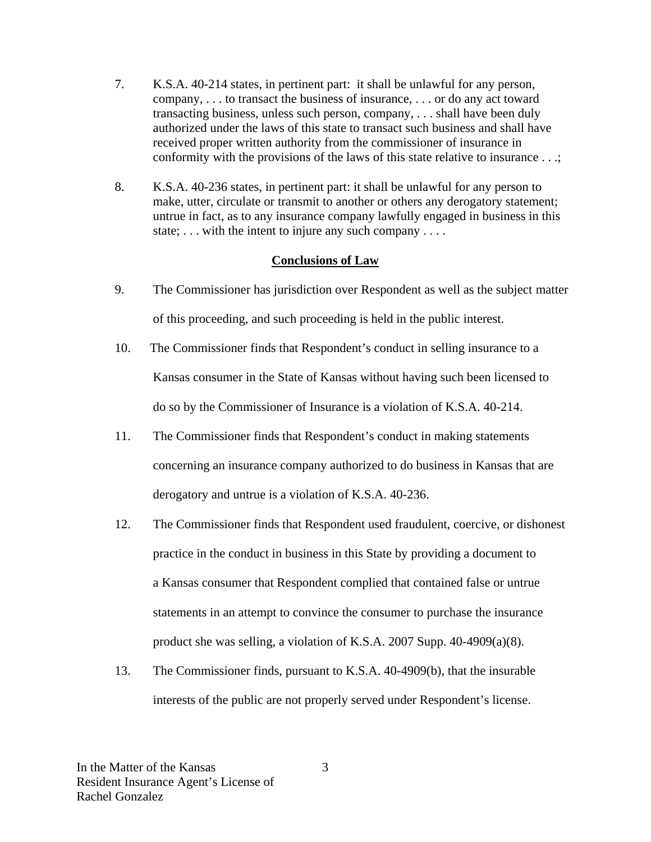- 7. K.S.A. 40-214 states, in pertinent part: it shall be unlawful for any person, company, . . . to transact the business of insurance, . . . or do any act toward transacting business, unless such person, company, . . . shall have been duly authorized under the laws of this state to transact such business and shall have received proper written authority from the commissioner of insurance in conformity with the provisions of the laws of this state relative to insurance . . .;
- 8. K.S.A. 40-236 states, in pertinent part: it shall be unlawful for any person to make, utter, circulate or transmit to another or others any derogatory statement; untrue in fact, as to any insurance company lawfully engaged in business in this state; ... with the intent to injure any such company ....

### **Conclusions of Law**

- 9. The Commissioner has jurisdiction over Respondent as well as the subject matter of this proceeding, and such proceeding is held in the public interest.
- 10. The Commissioner finds that Respondent's conduct in selling insurance to a Kansas consumer in the State of Kansas without having such been licensed to do so by the Commissioner of Insurance is a violation of K.S.A. 40-214.
- 11. The Commissioner finds that Respondent's conduct in making statements concerning an insurance company authorized to do business in Kansas that are derogatory and untrue is a violation of K.S.A. 40-236.
- 12. The Commissioner finds that Respondent used fraudulent, coercive, or dishonest practice in the conduct in business in this State by providing a document to a Kansas consumer that Respondent complied that contained false or untrue statements in an attempt to convince the consumer to purchase the insurance product she was selling, a violation of K.S.A. 2007 Supp. 40-4909(a)(8).
- 13. The Commissioner finds, pursuant to K.S.A. 40-4909(b), that the insurable interests of the public are not properly served under Respondent's license.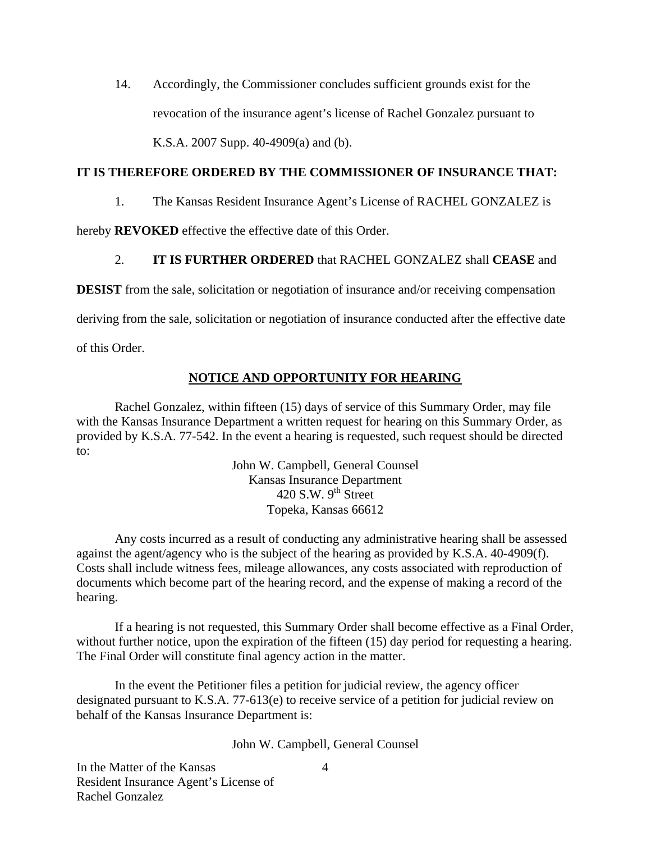14. Accordingly, the Commissioner concludes sufficient grounds exist for the revocation of the insurance agent's license of Rachel Gonzalez pursuant to K.S.A. 2007 Supp. 40-4909(a) and (b).

#### **IT IS THEREFORE ORDERED BY THE COMMISSIONER OF INSURANCE THAT:**

1. The Kansas Resident Insurance Agent's License of RACHEL GONZALEZ is

hereby **REVOKED** effective the effective date of this Order.

### 2. **IT IS FURTHER ORDERED** that RACHEL GONZALEZ shall **CEASE** and

**DESIST** from the sale, solicitation or negotiation of insurance and/or receiving compensation

deriving from the sale, solicitation or negotiation of insurance conducted after the effective date

of this Order.

### **NOTICE AND OPPORTUNITY FOR HEARING**

Rachel Gonzalez, within fifteen (15) days of service of this Summary Order, may file with the Kansas Insurance Department a written request for hearing on this Summary Order, as provided by K.S.A. 77-542. In the event a hearing is requested, such request should be directed to:

> John W. Campbell, General Counsel Kansas Insurance Department 420 S.W.  $9^{th}$  Street Topeka, Kansas 66612

Any costs incurred as a result of conducting any administrative hearing shall be assessed against the agent/agency who is the subject of the hearing as provided by K.S.A. 40-4909(f). Costs shall include witness fees, mileage allowances, any costs associated with reproduction of documents which become part of the hearing record, and the expense of making a record of the hearing.

If a hearing is not requested, this Summary Order shall become effective as a Final Order, without further notice, upon the expiration of the fifteen (15) day period for requesting a hearing. The Final Order will constitute final agency action in the matter.

In the event the Petitioner files a petition for judicial review, the agency officer designated pursuant to K.S.A. 77-613(e) to receive service of a petition for judicial review on behalf of the Kansas Insurance Department is:

John W. Campbell, General Counsel

In the Matter of the Kansas Resident Insurance Agent's License of Rachel Gonzalez

4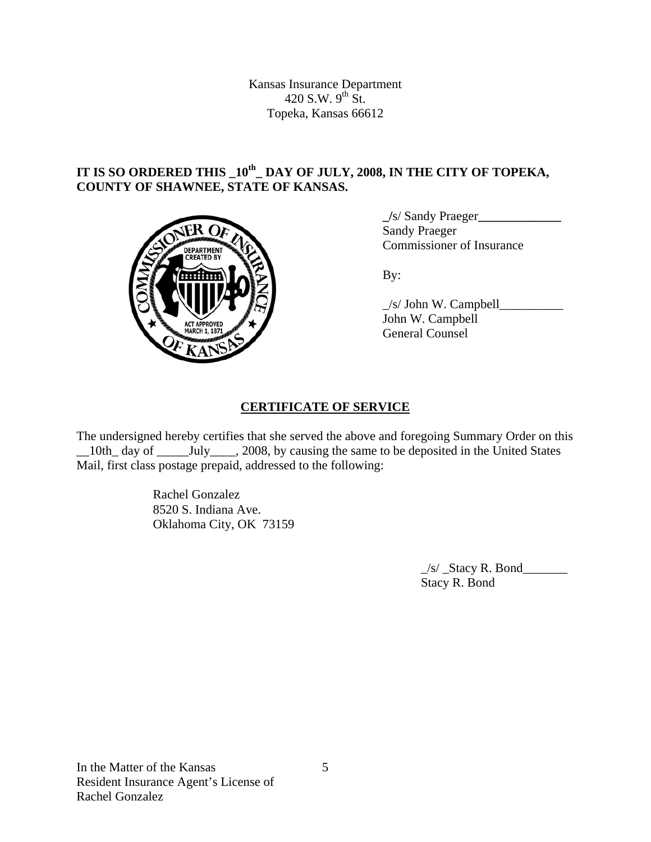Kansas Insurance Department 420 S.W.  $9^{th}$  St. Topeka, Kansas 66612

# **IT IS SO ORDERED THIS \_10th\_ DAY OF JULY, 2008, IN THE CITY OF TOPEKA, COUNTY OF SHAWNEE, STATE OF KANSAS.**



 **\_/**s/ Sandy Praeger**\_\_\_\_\_\_\_\_\_\_\_\_\_ Sandy Praeger COMMISSIONER COMMISSIONER OF Insurance** 

 $\angle$ s/ John W. Campbell John W. Campbell General Counsel

# **CERTIFICATE OF SERVICE**

The undersigned hereby certifies that she served the above and foregoing Summary Order on this \_\_10th\_ day of \_\_\_\_\_July\_\_\_\_, 2008, by causing the same to be deposited in the United States Mail, first class postage prepaid, addressed to the following:

> Rachel Gonzalez 8520 S. Indiana Ave. Oklahoma City, OK 73159

> > \_/s/ \_Stacy R. Bond\_\_\_\_\_\_\_ Stacy R. Bond

In the Matter of the Kansas Resident Insurance Agent's License of Rachel Gonzalez

5